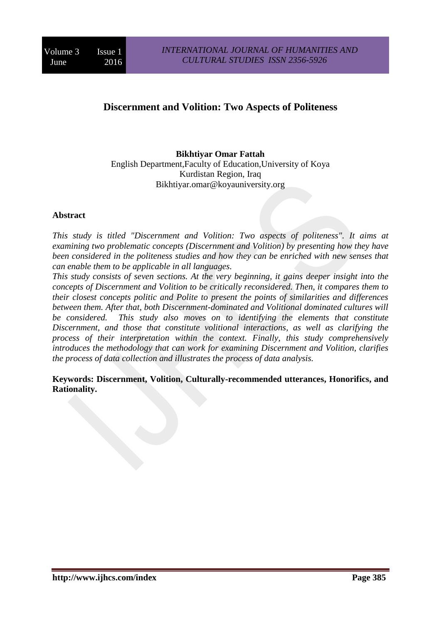# **Discernment and Volition: Two Aspects of Politeness**

## **Bikhtiyar Omar Fattah**

English Department,Faculty of Education,University of Koya Kurdistan Region, Iraq Bikhtiyar.omar@koyauniversity.org

#### **Abstract**

*This study is titled "Discernment and Volition: Two aspects of politeness". It aims at examining two problematic concepts (Discernment and Volition) by presenting how they have been considered in the politeness studies and how they can be enriched with new senses that can enable them to be applicable in all languages.* 

*This study consists of seven sections. At the very beginning, it gains deeper insight into the concepts of Discernment and Volition to be critically reconsidered. Then, it compares them to their closest concepts politic and Polite to present the points of similarities and differences between them. After that, both Discernment-dominated and Volitional dominated cultures will be considered. This study also moves on to identifying the elements that constitute Discernment, and those that constitute volitional interactions, as well as clarifying the process of their interpretation within the context. Finally, this study comprehensively introduces the methodology that can work for examining Discernment and Volition, clarifies the process of data collection and illustrates the process of data analysis.* 

**Keywords: Discernment, Volition, Culturally-recommended utterances, Honorifics, and Rationality.**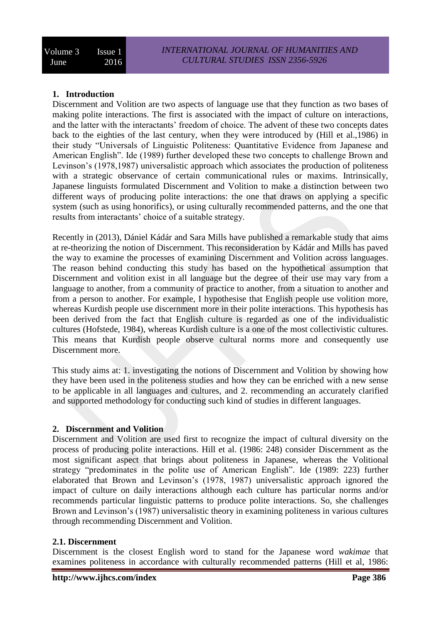## **1. Introduction**

Discernment and Volition are two aspects of language use that they function as two bases of making polite interactions. The first is associated with the impact of culture on interactions, and the latter with the interactants' freedom of choice. The advent of these two concepts dates back to the eighties of the last century, when they were introduced by (Hill et al.,1986) in their study "Universals of Linguistic Politeness: Quantitative Evidence from Japanese and American English". Ide (1989) further developed these two concepts to challenge Brown and Levinson's (1978,1987) universalistic approach which associates the production of politeness with a strategic observance of certain communicational rules or maxims. Intrinsically, Japanese linguists formulated Discernment and Volition to make a distinction between two different ways of producing polite interactions: the one that draws on applying a specific system (such as using honorifics), or using culturally recommended patterns, and the one that results from interactants' choice of a suitable strategy.

Recently in (2013), Dániel Kádár and Sara Mills have published a remarkable study that aims at re-theorizing the notion of Discernment. This reconsideration by Kádár and Mills has paved the way to examine the processes of examining Discernment and Volition across languages. The reason behind conducting this study has based on the hypothetical assumption that Discernment and volition exist in all language but the degree of their use may vary from a language to another, from a community of practice to another, from a situation to another and from a person to another. For example, I hypothesise that English people use volition more, whereas Kurdish people use discernment more in their polite interactions. This hypothesis has been derived from the fact that English culture is regarded as one of the individualistic cultures (Hofstede, 1984), whereas Kurdish culture is a one of the most collectivistic cultures. This means that Kurdish people observe cultural norms more and consequently use Discernment more.

This study aims at: 1. investigating the notions of Discernment and Volition by showing how they have been used in the politeness studies and how they can be enriched with a new sense to be applicable in all languages and cultures, and 2. recommending an accurately clarified and supported methodology for conducting such kind of studies in different languages.

#### **2. Discernment and Volition**

Discernment and Volition are used first to recognize the impact of cultural diversity on the process of producing polite interactions. Hill et al. (1986: 248) consider Discernment as the most significant aspect that brings about politeness in Japanese, whereas the Volitional strategy "predominates in the polite use of American English". Ide (1989: 223) further elaborated that Brown and Levinson's (1978, 1987) universalistic approach ignored the impact of culture on daily interactions although each culture has particular norms and/or recommends particular linguistic patterns to produce polite interactions. So, she challenges Brown and Levinson's (1987) universalistic theory in examining politeness in various cultures through recommending Discernment and Volition.

#### **2.1. Discernment**

Discernment is the closest English word to stand for the Japanese word *wakimae* that examines politeness in accordance with culturally recommended patterns (Hill et al, 1986: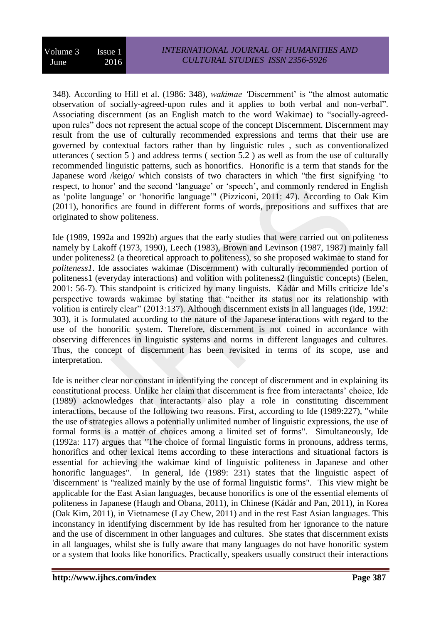348). According to Hill et al. (1986: 348), *wakimae '*Discernment' is "the almost automatic observation of socially-agreed-upon rules and it applies to both verbal and non-verbal". Associating discernment (as an English match to the word Wakimae) to "socially-agreedupon rules" does not represent the actual scope of the concept Discernment. Discernment may result from the use of culturally recommended expressions and terms that their use are governed by contextual factors rather than by linguistic rules , such as conventionalized utterances ( section 5 ) and address terms ( section 5.2 ) as well as from the use of culturally recommended linguistic patterns, such as honorifics. Honorific is a term that stands for the Japanese word /keigo/ which consists of two characters in which "the first signifying 'to respect, to honor' and the second 'language' or 'speech', and commonly rendered in English as 'polite language' or 'honorific language'" (Pizziconi, 2011: 47). According to Oak Kim (2011), honorifics are found in different forms of words, prepositions and suffixes that are originated to show politeness.

Ide (1989, 1992a and 1992b) argues that the early studies that were carried out on politeness namely by Lakoff (1973, 1990), Leech (1983), Brown and Levinson (1987, 1987) mainly fall under politeness2 (a theoretical approach to politeness), so she proposed wakimae to stand for *politeness1*. Ide associates wakimae (Discernment) with culturally recommended portion of politeness1 (everyday interactions) and volition with politeness2 (linguistic concepts) (Eelen, 2001: 56-7). This standpoint is criticized by many linguists. Kádár and Mills criticize Ide's perspective towards wakimae by stating that "neither its status nor its relationship with volition is entirely clear" (2013:137). Although discernment exists in all languages (ide, 1992: 303), it is formulated according to the nature of the Japanese interactions with regard to the use of the honorific system. Therefore, discernment is not coined in accordance with observing differences in linguistic systems and norms in different languages and cultures. Thus, the concept of discernment has been revisited in terms of its scope, use and interpretation.

Ide is neither clear nor constant in identifying the concept of discernment and in explaining its constitutional process. Unlike her claim that discernment is free from interactants' choice, Ide (1989) acknowledges that interactants also play a role in constituting discernment interactions, because of the following two reasons. First, according to Ide (1989:227), "while the use of strategies allows a potentially unlimited number of linguistic expressions, the use of formal forms is a matter of choices among a limited set of forms". Simultaneously, Ide (1992a: 117) argues that "The choice of formal linguistic forms in pronouns, address terms, honorifics and other lexical items according to these interactions and situational factors is essential for achieving the wakimae kind of linguistic politeness in Japanese and other honorific languages". In general, Ide (1989: 231) states that the linguistic aspect of 'discernment' is "realized mainly by the use of formal linguistic forms". This view might be applicable for the East Asian languages, because honorifics is one of the essential elements of politeness in Japanese (Haugh and Obana, 2011), in Chinese (Kádár and Pan, 2011), in Korea (Oak Kim, 2011), in Vietnamese (Lay Chew, 2011) and in the rest East Asian languages. This inconstancy in identifying discernment by Ide has resulted from her ignorance to the nature and the use of discernment in other languages and cultures. She states that discernment exists in all languages, whilst she is fully aware that many languages do not have honorific system or a system that looks like honorifics. Practically, speakers usually construct their interactions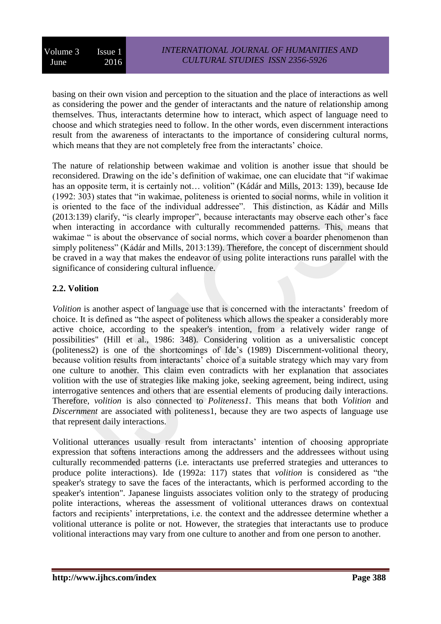basing on their own vision and perception to the situation and the place of interactions as well as considering the power and the gender of interactants and the nature of relationship among themselves. Thus, interactants determine how to interact, which aspect of language need to choose and which strategies need to follow. In the other words, even discernment interactions result from the awareness of interactants to the importance of considering cultural norms, which means that they are not completely free from the interactants' choice.

The nature of relationship between wakimae and volition is another issue that should be reconsidered. Drawing on the ide's definition of wakimae, one can elucidate that "if wakimae has an opposite term, it is certainly not... volition" (Kádár and Mills, 2013: 139), because Ide (1992: 303) states that "in wakimae, politeness is oriented to social norms, while in volition it is oriented to the face of the individual addressee". This distinction, as Kádár and Mills (2013:139) clarify, "is clearly improper", because interactants may observe each other's face when interacting in accordance with culturally recommended patterns. This, means that wakimae " is about the observance of social norms, which cover a boarder phenomenon than simply politeness" (Kádár and Mills, 2013:139). Therefore, the concept of discernment should be craved in a way that makes the endeavor of using polite interactions runs parallel with the significance of considering cultural influence.

# **2.2. Volition**

*Volition* is another aspect of language use that is concerned with the interactants' freedom of choice. It is defined as "the aspect of politeness which allows the speaker a considerably more active choice, according to the speaker's intention, from a relatively wider range of possibilities" (Hill et al., 1986: 348). Considering volition as a universalistic concept (politeness2) is one of the shortcomings of Ide's (1989) Discernment-volitional theory, because volition results from interactants' choice of a suitable strategy which may vary from one culture to another. This claim even contradicts with her explanation that associates volition with the use of strategies like making joke, seeking agreement, being indirect, using interrogative sentences and others that are essential elements of producing daily interactions. Therefore, *volition* is also connected to *Politeness1*. This means that both *Volition* and *Discernment* are associated with politeness1, because they are two aspects of language use that represent daily interactions.

Volitional utterances usually result from interactants' intention of choosing appropriate expression that softens interactions among the addressers and the addressees without using culturally recommended patterns (i.e. interactants use preferred strategies and utterances to produce polite interactions). Ide (1992a: 117) states that *volition* is considered as "the speaker's strategy to save the faces of the interactants, which is performed according to the speaker's intention". Japanese linguists associates volition only to the strategy of producing polite interactions, whereas the assessment of volitional utterances draws on contextual factors and recipients' interpretations, i.e. the context and the addressee determine whether a volitional utterance is polite or not. However, the strategies that interactants use to produce volitional interactions may vary from one culture to another and from one person to another.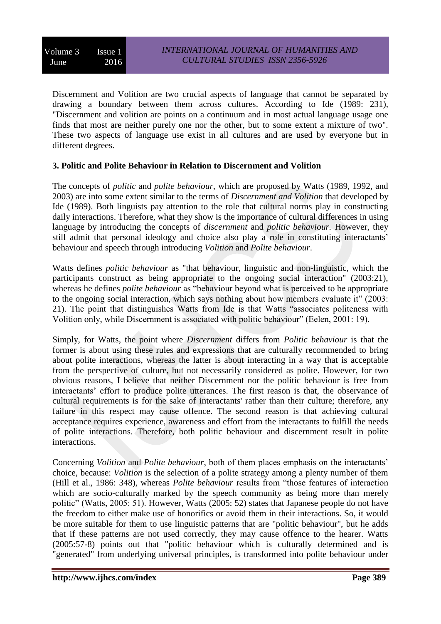Discernment and Volition are two crucial aspects of language that cannot be separated by drawing a boundary between them across cultures. According to Ide (1989: 231), "Discernment and volition are points on a continuum and in most actual language usage one finds that most are neither purely one nor the other, but to some extent a mixture of two". These two aspects of language use exist in all cultures and are used by everyone but in different degrees.

#### **3. Politic and Polite Behaviour in Relation to Discernment and Volition**

The concepts of *politic* and *polite behaviour*, which are proposed by Watts (1989, 1992, and 2003) are into some extent similar to the terms of *Discernment and Volition* that developed by Ide (1989). Both linguists pay attention to the role that cultural norms play in constructing daily interactions. Therefore, what they show is the importance of cultural differences in using language by introducing the concepts of *discernment* and *politic behaviour.* However, they still admit that personal ideology and choice also play a role in constituting interactants' behaviour and speech through introducing *Volition* and *Polite behaviour*.

Watts defines *politic behaviour* as "that behaviour, linguistic and non-linguistic, which the participants construct as being appropriate to the ongoing social interaction" (2003:21), whereas he defines *polite behaviour* as "behaviour beyond what is perceived to be appropriate to the ongoing social interaction, which says nothing about how members evaluate it" (2003: 21). The point that distinguishes Watts from Ide is that Watts "associates politeness with Volition only, while Discernment is associated with politic behaviour" (Eelen, 2001: 19).

Simply, for Watts, the point where *Discernment* differs from *Politic behaviour* is that the former is about using these rules and expressions that are culturally recommended to bring about polite interactions, whereas the latter is about interacting in a way that is acceptable from the perspective of culture, but not necessarily considered as polite. However, for two obvious reasons, I believe that neither Discernment nor the politic behaviour is free from interactants' effort to produce polite utterances. The first reason is that, the observance of cultural requirements is for the sake of interactants' rather than their culture; therefore, any failure in this respect may cause offence. The second reason is that achieving cultural acceptance requires experience, awareness and effort from the interactants to fulfill the needs of polite interactions. Therefore, both politic behaviour and discernment result in polite interactions.

Concerning *Volition* and *Polite behaviour*, both of them places emphasis on the interactants' choice, because: *Volition* is the selection of a polite strategy among a plenty number of them (Hill et al., 1986: 348), whereas *Polite behaviour* results from "those features of interaction which are socio-culturally marked by the speech community as being more than merely politic" (Watts, 2005: 51). However, Watts (2005: 52) states that Japanese people do not have the freedom to either make use of honorifics or avoid them in their interactions. So, it would be more suitable for them to use linguistic patterns that are "politic behaviour", but he adds that if these patterns are not used correctly, they may cause offence to the hearer. Watts (2005:57-8) points out that "politic behaviour which is culturally determined and is "generated" from underlying universal principles, is transformed into polite behaviour under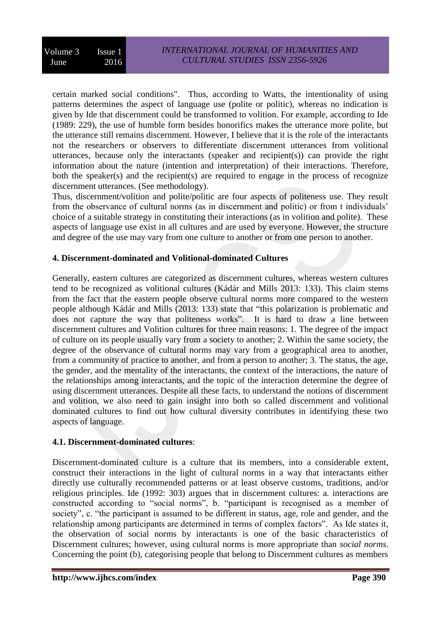certain marked social conditions". Thus, according to Watts, the intentionality of using patterns determines the aspect of language use (polite or politic), whereas no indication is given by Ide that discernment could be transformed to volition. For example, according to Ide (1989: 229), the use of humble form besides honorifics makes the utterance more polite, but the utterance still remains discernment. However, I believe that it is the role of the interactants not the researchers or observers to differentiate discernment utterances from volitional utterances, because only the interactants (speaker and recipient(s)) can provide the right information about the nature (intention and interpretation) of their interactions. Therefore, both the speaker(s) and the recipient(s) are required to engage in the process of recognize discernment utterances. (See methodology).

Thus, discernment/volition and polite/politic are four aspects of politeness use. They result from the observance of cultural norms (as in discernment and politic) or from t individuals' choice of a suitable strategy in constituting their interactions (as in volition and polite). These aspects of language use exist in all cultures and are used by everyone. However, the structure and degree of the use may vary from one culture to another or from one person to another.

## **4. Discernment-dominated and Volitional-dominated Cultures**

Generally, eastern cultures are categorized as discernment cultures, whereas western cultures tend to be recognized as volitional cultures (Kádár and Mills 2013: 133). This claim stems from the fact that the eastern people observe cultural norms more compared to the western people although Kádár and Mills (2013: 133) state that "this polarization is problematic and does not capture the way that politeness works". It is hard to draw a line between discernment cultures and Volition cultures for three main reasons: 1. The degree of the impact of culture on its people usually vary from a society to another; 2. Within the same society, the degree of the observance of cultural norms may vary from a geographical area to another, from a community of practice to another, and from a person to another; 3. The status, the age, the gender, and the mentality of the interactants, the context of the interactions, the nature of the relationships among interactants, and the topic of the interaction determine the degree of using discernment utterances. Despite all these facts, to understand the notions of discernment and volition, we also need to gain insight into both so called discernment and volitional dominated cultures to find out how cultural diversity contributes in identifying these two aspects of language.

#### **4.1. Discernment-dominated cultures**:

Discernment-dominated culture is a culture that its members, into a considerable extent, construct their interactions in the light of cultural norms in a way that interactants either directly use culturally recommended patterns or at least observe customs, traditions, and/or religious principles. Ide (1992: 303) argues that in discernment cultures: a. interactions are constructed according to "social norms", b. "participant is recognised as a member of society", c. "the participant is assumed to be different in status, age, role and gender, and the relationship among participants are determined in terms of complex factors". As Ide states it, the observation of social norms by interactants is one of the basic characteristics of Discernment cultures; however, using cultural norms is more appropriate than *social norms*. Concerning the point (b), categorising people that belong to Discernment cultures as members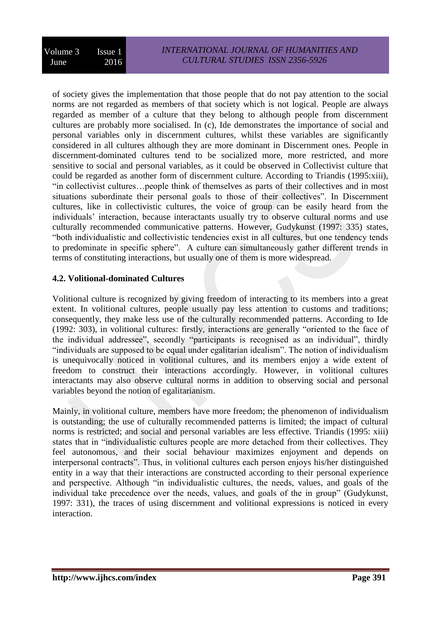of society gives the implementation that those people that do not pay attention to the social norms are not regarded as members of that society which is not logical. People are always regarded as member of a culture that they belong to although people from discernment cultures are probably more socialised. In (c), Ide demonstrates the importance of social and personal variables only in discernment cultures, whilst these variables are significantly considered in all cultures although they are more dominant in Discernment ones. People in discernment-dominated cultures tend to be socialized more, more restricted, and more sensitive to social and personal variables, as it could be observed in Collectivist culture that could be regarded as another form of discernment culture. According to Triandis (1995:xiii), "in collectivist cultures…people think of themselves as parts of their collectives and in most situations subordinate their personal goals to those of their collectives". In Discernment cultures, like in collectivistic cultures, the voice of group can be easily heard from the individuals' interaction, because interactants usually try to observe cultural norms and use culturally recommended communicative patterns. However, Gudykunst (1997: 335) states, "both individualistic and collectivistic tendencies exist in all cultures, but one tendency tends to predominate in specific sphere". A culture can simultaneously gather different trends in terms of constituting interactions, but usually one of them is more widespread.

## **4.2. Volitional-dominated Cultures**

Volitional culture is recognized by giving freedom of interacting to its members into a great extent. In volitional cultures, people usually pay less attention to customs and traditions; consequently, they make less use of the culturally recommended patterns. According to Ide (1992: 303), in volitional cultures: firstly, interactions are generally "oriented to the face of the individual addressee", secondly "participants is recognised as an individual", thirdly "individuals are supposed to be equal under egalitarian idealism". The notion of individualism is unequivocally noticed in volitional cultures, and its members enjoy a wide extent of freedom to construct their interactions accordingly. However, in volitional cultures interactants may also observe cultural norms in addition to observing social and personal variables beyond the notion of egalitarianism.

Mainly, in volitional culture, members have more freedom; the phenomenon of individualism is outstanding; the use of culturally recommended patterns is limited; the impact of cultural norms is restricted; and social and personal variables are less effective. Triandis (1995: xiii) states that in "individualistic cultures people are more detached from their collectives. They feel autonomous, and their social behaviour maximizes enjoyment and depends on interpersonal contracts". Thus, in volitional cultures each person enjoys his/her distinguished entity in a way that their interactions are constructed according to their personal experience and perspective. Although "in individualistic cultures, the needs, values, and goals of the individual take precedence over the needs, values, and goals of the in group" (Gudykunst, 1997: 331), the traces of using discernment and volitional expressions is noticed in every interaction.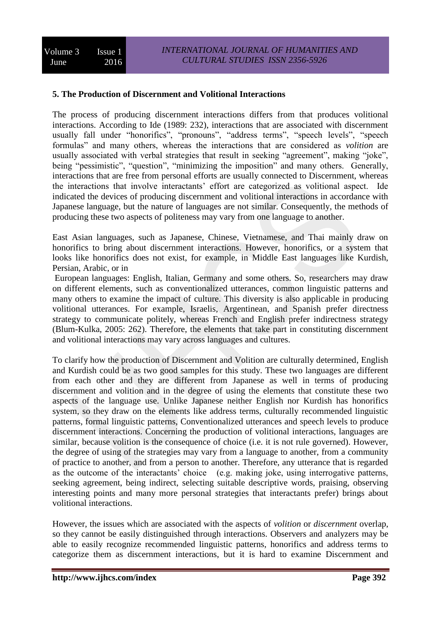## **5. The Production of Discernment and Volitional Interactions**

The process of producing discernment interactions differs from that produces volitional interactions. According to Ide (1989: 232), interactions that are associated with discernment usually fall under "honorifics", "pronouns", "address terms", "speech levels", "speech formulas" and many others, whereas the interactions that are considered as *volition* are usually associated with verbal strategies that result in seeking "agreement", making "joke", being "pessimistic", "question", "minimizing the imposition" and many others. Generally, interactions that are free from personal efforts are usually connected to Discernment, whereas the interactions that involve interactants' effort are categorized as volitional aspect. Ide indicated the devices of producing discernment and volitional interactions in accordance with Japanese language, but the nature of languages are not similar. Consequently, the methods of producing these two aspects of politeness may vary from one language to another.

East Asian languages, such as Japanese, Chinese, Vietnamese, and Thai mainly draw on honorifics to bring about discernment interactions. However, honorifics, or a system that looks like honorifics does not exist, for example, in Middle East languages like Kurdish, Persian, Arabic, or in

European languages: English, Italian, Germany and some others. So, researchers may draw on different elements, such as conventionalized utterances, common linguistic patterns and many others to examine the impact of culture. This diversity is also applicable in producing volitional utterances. For example, Israelis, Argentinean, and Spanish prefer directness strategy to communicate politely, whereas French and English prefer indirectness strategy (Blum-Kulka, 2005: 262). Therefore, the elements that take part in constituting discernment and volitional interactions may vary across languages and cultures.

To clarify how the production of Discernment and Volition are culturally determined, English and Kurdish could be as two good samples for this study. These two languages are different from each other and they are different from Japanese as well in terms of producing discernment and volition and in the degree of using the elements that constitute these two aspects of the language use. Unlike Japanese neither English nor Kurdish has honorifics system, so they draw on the elements like address terms, culturally recommended linguistic patterns, formal linguistic patterns, Conventionalized utterances and speech levels to produce discernment interactions. Concerning the production of volitional interactions, languages are similar, because volition is the consequence of choice (i.e. it is not rule governed). However, the degree of using of the strategies may vary from a language to another, from a community of practice to another, and from a person to another. Therefore, any utterance that is regarded as the outcome of the interactants' choice (e.g. making joke, using interrogative patterns, seeking agreement, being indirect, selecting suitable descriptive words, praising, observing interesting points and many more personal strategies that interactants prefer) brings about volitional interactions.

However, the issues which are associated with the aspects of *volition* or *discernment* overlap, so they cannot be easily distinguished through interactions. Observers and analyzers may be able to easily recognize recommended linguistic patterns, honorifics and address terms to categorize them as discernment interactions, but it is hard to examine Discernment and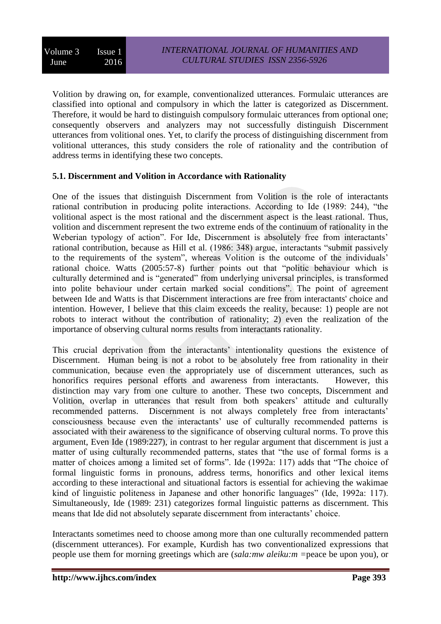Volition by drawing on, for example, conventionalized utterances. Formulaic utterances are classified into optional and compulsory in which the latter is categorized as Discernment. Therefore, it would be hard to distinguish compulsory formulaic utterances from optional one; consequently observers and analyzers may not successfully distinguish Discernment utterances from volitional ones. Yet, to clarify the process of distinguishing discernment from volitional utterances, this study considers the role of rationality and the contribution of address terms in identifying these two concepts.

#### **5.1. Discernment and Volition in Accordance with Rationality**

One of the issues that distinguish Discernment from Volition is the role of interactants rational contribution in producing polite interactions. According to Ide (1989: 244), "the volitional aspect is the most rational and the discernment aspect is the least rational. Thus, volition and discernment represent the two extreme ends of the continuum of rationality in the Weberian typology of action". For Ide, Discernment is absolutely free from interactants' rational contribution, because as Hill et al. (1986: 348) argue, interactants "submit passively to the requirements of the system", whereas Volition is the outcome of the individuals' rational choice. Watts (2005:57-8) further points out that "politic behaviour which is culturally determined and is "generated" from underlying universal principles, is transformed into polite behaviour under certain marked social conditions". The point of agreement between Ide and Watts is that Discernment interactions are free from interactants' choice and intention. However, I believe that this claim exceeds the reality, because: 1) people are not robots to interact without the contribution of rationality; 2) even the realization of the importance of observing cultural norms results from interactants rationality.

This crucial deprivation from the interactants' intentionality questions the existence of Discernment. Human being is not a robot to be absolutely free from rationality in their communication, because even the appropriately use of discernment utterances, such as honorifics requires personal efforts and awareness from interactants. However, this distinction may vary from one culture to another. These two concepts, Discernment and Volition, overlap in utterances that result from both speakers' attitude and culturally recommended patterns. Discernment is not always completely free from interactants' consciousness because even the interactants' use of culturally recommended patterns is associated with their awareness to the significance of observing cultural norms. To prove this argument, Even Ide (1989:227), in contrast to her regular argument that discernment is just a matter of using culturally recommended patterns, states that "the use of formal forms is a matter of choices among a limited set of forms". Ide (1992a: 117) adds that "The choice of formal linguistic forms in pronouns, address terms, honorifics and other lexical items according to these interactional and situational factors is essential for achieving the wakimae kind of linguistic politeness in Japanese and other honorific languages" (Ide, 1992a: 117). Simultaneously, Ide (1989: 231) categorizes formal linguistic patterns as discernment. This means that Ide did not absolutely separate discernment from interactants' choice.

Interactants sometimes need to choose among more than one culturally recommended pattern (discernment utterances). For example, Kurdish has two conventionalized expressions that people use them for morning greetings which are (*sala:mw aleiku:m =*peace be upon you), or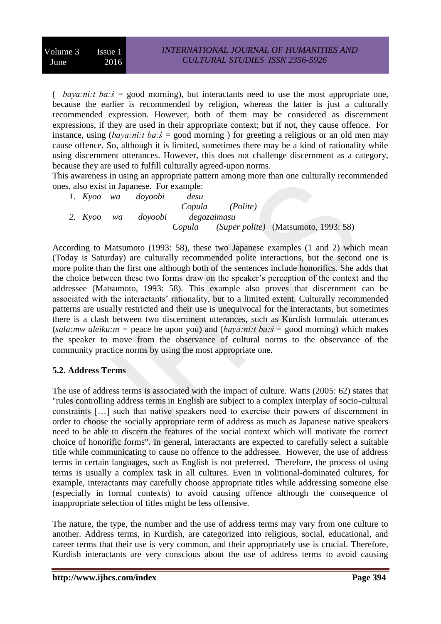( *baya:ni:t ba:ś* = good morning), but interactants need to use the most appropriate one, because the earlier is recommended by religion, whereas the latter is just a culturally recommended expression. However, both of them may be considered as discernment expressions, if they are used in their appropriate context; but if not, they cause offence. For instance, using (*baya:ni:t ba:s<sup>'</sup>* = good morning ) for greeting a religious or an old men may cause offence. So, although it is limited, sometimes there may be a kind of rationality while using discernment utterances. However, this does not challenge discernment as a category, because they are used to fulfill culturally agreed-upon norms.

This awareness in using an appropriate pattern among more than one culturally recommended ones, also exist in Japanese. For example:

|            | 1. Kyoo wa doyoobi | desu        |                 |                                             |
|------------|--------------------|-------------|-----------------|---------------------------------------------|
|            |                    |             | Copula (Polite) |                                             |
| 2. Kvoo wa | dovoobi            | degozaimasu |                 |                                             |
|            |                    |             |                 | Copula (Super polite) (Matsumoto, 1993: 58) |

According to Matsumoto (1993: 58), these two Japanese examples (1 and 2) which mean (Today is Saturday) are culturally recommended polite interactions, but the second one is more polite than the first one although both of the sentences include honorifics. She adds that the choice between these two forms draw on the speaker's perception of the context and the addressee (Matsumoto, 1993: 58). This example also proves that discernment can be associated with the interactants' rationality, but to a limited extent. Culturally recommended patterns are usually restricted and their use is unequivocal for the interactants, but sometimes there is a clash between two discernment utterances, such as Kurdish formulaic utterances (*sala:mw aleiku:m =* peace be upon you) and (*baya:ni:t ba:ś* = good morning) which makes the speaker to move from the observance of cultural norms to the observance of the community practice norms by using the most appropriate one.

# **5.2. Address Terms**

The use of address terms is associated with the impact of culture. Watts (2005: 62) states that "rules controlling address terms in English are subject to a complex interplay of socio-cultural constraints […] such that native speakers need to exercise their powers of discernment in order to choose the socially appropriate term of address as much as Japanese native speakers need to be able to discern the features of the social context which will motivate the correct choice of honorific forms". In general, interactants are expected to carefully select a suitable title while communicating to cause no offence to the addressee. However, the use of address terms in certain languages, such as English is not preferred. Therefore, the process of using terms is usually a complex task in all cultures. Even in volitional-dominated cultures, for example, interactants may carefully choose appropriate titles while addressing someone else (especially in formal contexts) to avoid causing offence although the consequence of inappropriate selection of titles might be less offensive.

The nature, the type, the number and the use of address terms may vary from one culture to another. Address terms, in Kurdish, are categorized into religious, social, educational, and career terms that their use is very common, and their appropriately use is crucial. Therefore, Kurdish interactants are very conscious about the use of address terms to avoid causing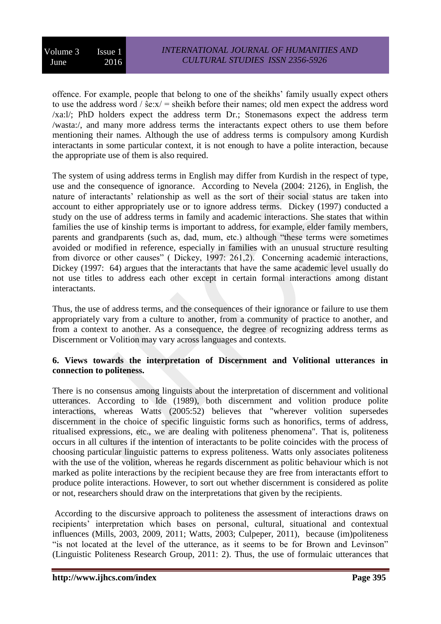Volume 3 Issue 1 June 2016

offence. For example, people that belong to one of the sheikhs' family usually expect others to use the address word /  $\hat{\textbf{s}}e:\textbf{x}/\text{ }=$  sheikh before their names; old men expect the address word /xa:l/; PhD holders expect the address term Dr.; Stonemasons expect the address term /wasta:/, and many more address terms the interactants expect others to use them before mentioning their names. Although the use of address terms is compulsory among Kurdish interactants in some particular context, it is not enough to have a polite interaction, because the appropriate use of them is also required.

The system of using address terms in English may differ from Kurdish in the respect of type, use and the consequence of ignorance. According to Nevela (2004: 2126), in English, the nature of interactants' relationship as well as the sort of their social status are taken into account to either appropriately use or to ignore address terms. Dickey (1997) conducted a study on the use of address terms in family and academic interactions. She states that within families the use of kinship terms is important to address, for example, elder family members, parents and grandparents (such as, dad, mum, etc.) although "these terms were sometimes avoided or modified in reference, especially in families with an unusual structure resulting from divorce or other causes" ( Dickey, 1997: 261,2). Concerning academic interactions, Dickey (1997: 64) argues that the interactants that have the same academic level usually do not use titles to address each other except in certain formal interactions among distant interactants.

Thus, the use of address terms, and the consequences of their ignorance or failure to use them appropriately vary from a culture to another, from a community of practice to another, and from a context to another. As a consequence, the degree of recognizing address terms as Discernment or Volition may vary across languages and contexts.

#### **6. Views towards the interpretation of Discernment and Volitional utterances in connection to politeness.**

There is no consensus among linguists about the interpretation of discernment and volitional utterances. According to Ide (1989), both discernment and volition produce polite interactions, whereas Watts (2005:52) believes that "wherever volition supersedes discernment in the choice of specific linguistic forms such as honorifics, terms of address, ritualised expressions, etc., we are dealing with politeness phenomena". That is, politeness occurs in all cultures if the intention of interactants to be polite coincides with the process of choosing particular linguistic patterns to express politeness. Watts only associates politeness with the use of the volition, whereas he regards discernment as politic behaviour which is not marked as polite interactions by the recipient because they are free from interactants effort to produce polite interactions. However, to sort out whether discernment is considered as polite or not, researchers should draw on the interpretations that given by the recipients.

According to the discursive approach to politeness the assessment of interactions draws on recipients' interpretation which bases on personal, cultural, situational and contextual influences (Mills, 2003, 2009, 2011; Watts, 2003; Culpeper, 2011), because (im)politeness "is not located at the level of the utterance, as it seems to be for Brown and Levinson" (Linguistic Politeness Research Group, 2011: 2). Thus, the use of formulaic utterances that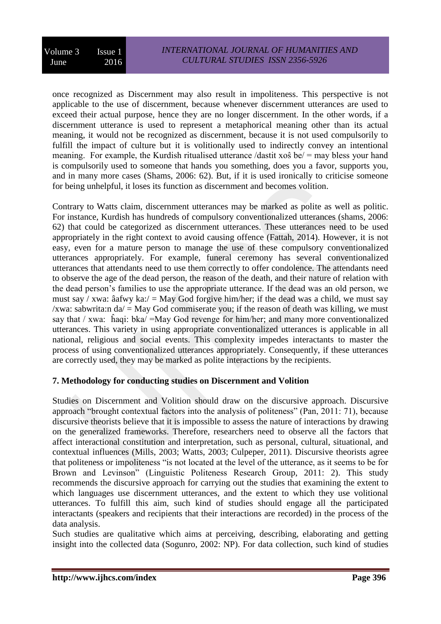once recognized as Discernment may also result in impoliteness. This perspective is not applicable to the use of discernment, because whenever discernment utterances are used to exceed their actual purpose, hence they are no longer discernment. In the other words, if a discernment utterance is used to represent a metaphorical meaning other than its actual meaning, it would not be recognized as discernment, because it is not used compulsorily to fulfill the impact of culture but it is volitionally used to indirectly convey an intentional meaning. For example, the Kurdish ritualised utterance /dastit xoŝ be/ = may bless your hand is compulsorily used to someone that hands you something, does you a favor, supports you, and in many more cases (Shams, 2006: 62). But, if it is used ironically to criticise someone for being unhelpful, it loses its function as discernment and becomes volition.

Contrary to Watts claim, discernment utterances may be marked as polite as well as politic. For instance, Kurdish has hundreds of compulsory conventionalized utterances (shams, 2006: 62) that could be categorized as discernment utterances. These utterances need to be used appropriately in the right context to avoid causing offence (Fattah, 2014). However, it is not easy, even for a mature person to manage the use of these compulsory conventionalized utterances appropriately. For example, funeral ceremony has several conventionalized utterances that attendants need to use them correctly to offer condolence. The attendants need to observe the age of the dead person, the reason of the death, and their nature of relation with the dead person's families to use the appropriate utterance. If the dead was an old person, we must say / xwa: âafwy ka:/ = May God forgive him/her; if the dead was a child, we must say /xwa: sabwrita:n  $da$  = May God commiserate you; if the reason of death was killing, we must say that / xwa: ĥaqi: bka/ =May God revenge for him/her; and many more conventionalized utterances. This variety in using appropriate conventionalized utterances is applicable in all national, religious and social events. This complexity impedes interactants to master the process of using conventionalized utterances appropriately. Consequently, if these utterances are correctly used, they may be marked as polite interactions by the recipients.

#### **7. Methodology for conducting studies on Discernment and Volition**

Studies on Discernment and Volition should draw on the discursive approach. Discursive approach "brought contextual factors into the analysis of politeness" (Pan, 2011: 71), because discursive theorists believe that it is impossible to assess the nature of interactions by drawing on the generalized frameworks. Therefore, researchers need to observe all the factors that affect interactional constitution and interpretation, such as personal, cultural, situational, and contextual influences (Mills, 2003; Watts, 2003; Culpeper, 2011). Discursive theorists agree that politeness or impoliteness "is not located at the level of the utterance, as it seems to be for Brown and Levinson" (Linguistic Politeness Research Group, 2011: 2). This study recommends the discursive approach for carrying out the studies that examining the extent to which languages use discernment utterances, and the extent to which they use volitional utterances. To fulfill this aim, such kind of studies should engage all the participated interactants (speakers and recipients that their interactions are recorded) in the process of the data analysis.

Such studies are qualitative which aims at perceiving, describing, elaborating and getting insight into the collected data (Sogunro, 2002: NP). For data collection, such kind of studies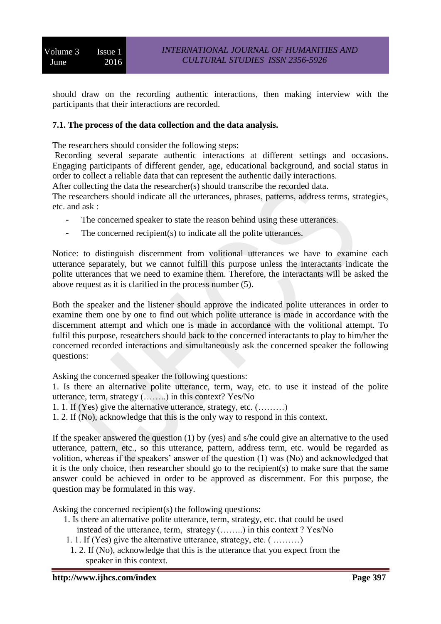should draw on the recording authentic interactions, then making interview with the participants that their interactions are recorded.

#### **7.1. The process of the data collection and the data analysis.**

The researchers should consider the following steps:

Recording several separate authentic interactions at different settings and occasions. Engaging participants of different gender, age, educational background, and social status in order to collect a reliable data that can represent the authentic daily interactions.

After collecting the data the researcher(s) should transcribe the recorded data.

The researchers should indicate all the utterances, phrases, patterns, address terms, strategies, etc. and ask :

- The concerned speaker to state the reason behind using these utterances.
- The concerned recipient(s) to indicate all the polite utterances.

Notice: to distinguish discernment from volitional utterances we have to examine each utterance separately, but we cannot fulfill this purpose unless the interactants indicate the polite utterances that we need to examine them. Therefore, the interactants will be asked the above request as it is clarified in the process number (5).

Both the speaker and the listener should approve the indicated polite utterances in order to examine them one by one to find out which polite utterance is made in accordance with the discernment attempt and which one is made in accordance with the volitional attempt. To fulfil this purpose, researchers should back to the concerned interactants to play to him/her the concerned recorded interactions and simultaneously ask the concerned speaker the following questions:

Asking the concerned speaker the following questions:

1. Is there an alternative polite utterance, term, way, etc. to use it instead of the polite utterance, term, strategy (……..) in this context? Yes/No

1. 1. If (Yes) give the alternative utterance, strategy, etc. (………)

1. 2. If (No), acknowledge that this is the only way to respond in this context.

If the speaker answered the question (1) by (yes) and s/he could give an alternative to the used utterance, pattern, etc., so this utterance, pattern, address term, etc. would be regarded as volition, whereas if the speakers' answer of the question (1) was (No) and acknowledged that it is the only choice, then researcher should go to the recipient(s) to make sure that the same answer could be achieved in order to be approved as discernment. For this purpose, the question may be formulated in this way.

Asking the concerned recipient(s) the following questions:

- 1. Is there an alternative polite utterance, term, strategy, etc. that could be used instead of the utterance, term, strategy (……..) in this context ? Yes/No
- 1. 1. If (Yes) give the alternative utterance, strategy, etc.  $($  .........
- 1. 2. If (No), acknowledge that this is the utterance that you expect from the speaker in this context.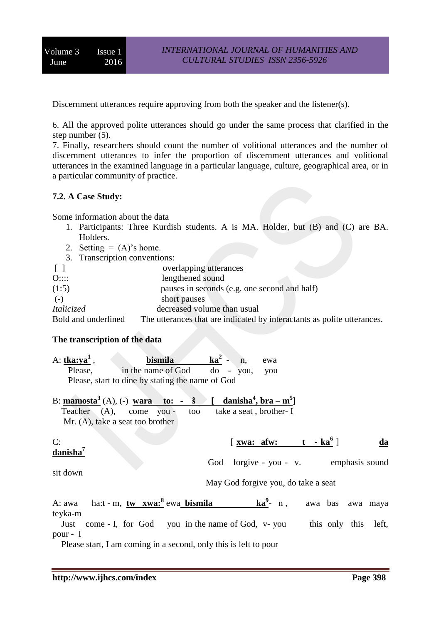Discernment utterances require approving from both the speaker and the listener(s).

6. All the approved polite utterances should go under the same process that clarified in the step number (5).

7. Finally, researchers should count the number of volitional utterances and the number of discernment utterances to infer the proportion of discernment utterances and volitional utterances in the examined language in a particular language, culture, geographical area, or in a particular community of practice.

#### **7.2. A Case Study:**

Some information about the data

- 1. Participants: Three Kurdish students. A is MA. Holder, but (B) and (C) are BA. Holders.
- 2. Setting  $= (A)$ 's home.
- 3. Transcription conventions:

| $\lceil$            | overlapping utterances                                                  |
|---------------------|-------------------------------------------------------------------------|
| O::::               | lengthened sound                                                        |
| (1:5)               | pauses in seconds (e.g. one second and half)                            |
| $(-)$               | short pauses                                                            |
| <i>Italicized</i>   | decreased volume than usual                                             |
| Bold and underlined | The utterances that are indicated by interactants as polite utterances. |

#### **The transcription of the data**

| A: tka:ya <sup>1</sup> ,   | bismila $ka^2 - n$ ,                                                                                                                                                      |                         | ewa                                                                  |                      |
|----------------------------|---------------------------------------------------------------------------------------------------------------------------------------------------------------------------|-------------------------|----------------------------------------------------------------------|----------------------|
| Please,                    | in the name of God do - you, you                                                                                                                                          |                         |                                                                      |                      |
|                            | Please, start to dine by stating the name of God                                                                                                                          |                         |                                                                      |                      |
|                            | B: $\text{mamosta}^3(A)$ , (-) wara to: - $\hat{s}$ [ danisha <sup>4</sup> , bra - m <sup>5</sup> ]<br>Teacher (A), come you -<br>too<br>Mr. (A), take a seat too brother | take a seat, brother- I |                                                                      |                      |
| C:<br>danisha <sup>7</sup> |                                                                                                                                                                           |                         | $\left[\begin{array}{ccc} xwa: & afw: & t - ka^6 \end{array}\right]$ | da                   |
| sit down                   |                                                                                                                                                                           |                         | God forgive - you - v. emphasis sound                                |                      |
|                            |                                                                                                                                                                           |                         | May God forgive you, do take a seat                                  |                      |
| teyka-m                    | A: awa ha:t - m, tw xwa: <sup>8</sup> ewa bismila ka <sup>9</sup> - n, awa bas awa maya                                                                                   |                         |                                                                      |                      |
| pour - I                   | Just come - I, for God you in the name of God, v-you                                                                                                                      |                         |                                                                      | this only this left, |

Please start, I am coming in a second, only this is left to pour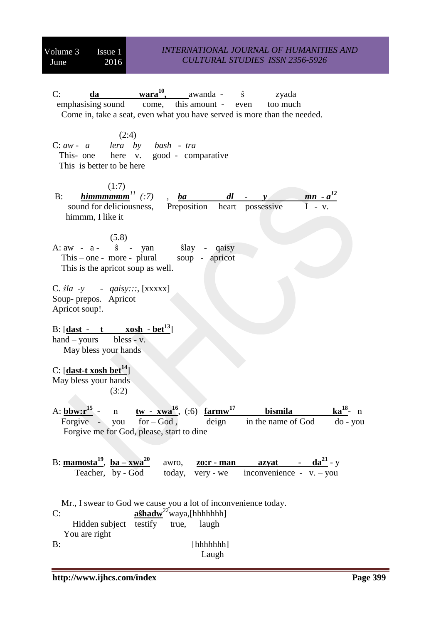C: **da wara<sup>10</sup>** awanda - ŝ zyada<br>this amount - even too much emphasising sound come, this amount - even too much Come in, take a seat, even what you have served is more than the needed.  $(2:4)$ C: *aw - a lera by bash - tra* This- one here v. good - comparative This is better to be here  $(1:7)$ B:  $\frac{h\text{Im}m\text{m}\text{m}\text{m}^{1}}{h\text{Im}m\text{m}\text{m}^{2}}$  (:7) *(:7)*, *ba dl* - *y mn* -  $a^{12}$ sound for deliciousness, Preposition heart possessive himmm, I like it (5.8) A:  $aw - a - \hat{s} - yan$   $\hat{s}$   $\frac{1}{ay} - q \hat{a}$  This – one - more - plural soup - apricot This is the apricot soup as well. C. *ŝla -y - qaisy:::*, [xxxxx] Soup- prepos. Apricot Apricot soup!. B:  $\begin{bmatrix} \text{dast} \\ -\text{t} \end{bmatrix}$  xosh -  $\text{bet}^{13}$ hand – yours bless -  $v$ . May bless your hands C: [**dast-t xosh bet<sup>14</sup>**] May bless your hands (3:2) A: **bbw:r<sup>15</sup>**  ${\bf tw - xwa}^{16}$ , (:6)  ${\bf farmw}^{17}$ **bismila ka<sup>18</sup>-** n Forgive - you for – God, deign in the name of God do - you Forgive me for God, please, start to dine B: **mamosta<sup>19</sup>** , **ba – xwa<sup>20</sup>** awro, **<u>zo:r • man azyat - da<sup>21</sup></del> - y**</u> Teacher, by - God today, very - we inconvenience - v. – you Mr., I swear to God we cause you a lot of inconvenience today. C:  $a\hat{s}hadw^{22}$ waya,[hhhhhhh] Hidden subject  $\overline{\text{testify}}$  true, laugh You are right B: [hhhhhhh] Laugh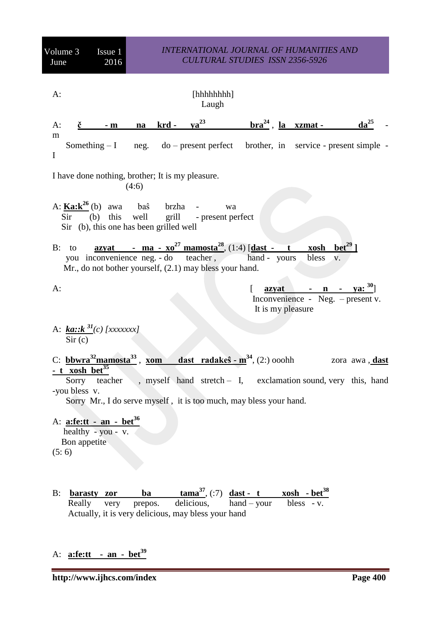| Volume 3<br>June                                          | Issue 1<br>2016                                                                          | <b>INTERNATIONAL JOURNAL OF HUMANITIES AND</b><br><b>CULTURAL STUDIES ISSN 2356-5926</b> |         |                                                                   |                                                                                                                                                                                             |                                                                   |                       |
|-----------------------------------------------------------|------------------------------------------------------------------------------------------|------------------------------------------------------------------------------------------|---------|-------------------------------------------------------------------|---------------------------------------------------------------------------------------------------------------------------------------------------------------------------------------------|-------------------------------------------------------------------|-----------------------|
| $A$ :                                                     |                                                                                          |                                                                                          |         | [hhhhhh]<br>Laugh                                                 |                                                                                                                                                                                             |                                                                   |                       |
| $A$ :<br>č                                                | $-$ m                                                                                    | na                                                                                       | $krd -$ | $\underline{v}a^{23}$                                             | $\frac{\text{bra}^{24}}{\text{frac} \cdot \text{frac}}$ . <u>la xzmat</u> -                                                                                                                 |                                                                   | $da25$                |
| m<br>$\mathbf I$                                          | Something $-I$                                                                           |                                                                                          |         |                                                                   | neg. do – present perfect brother, in service - present simple -                                                                                                                            |                                                                   |                       |
| I have done nothing, brother; It is my pleasure.<br>(4:6) |                                                                                          |                                                                                          |         |                                                                   |                                                                                                                                                                                             |                                                                   |                       |
| Sir                                                       | A: $\underline{\text{Ka:}}k^{26}$ (b) awa bas<br>Sir (b), this one has been grilled well |                                                                                          | brzha   | wa<br>(b) this well grill - present perfect                       |                                                                                                                                                                                             |                                                                   |                       |
| $B:$ to                                                   |                                                                                          |                                                                                          |         | Mr., do not bother yourself, (2.1) may bless your hand.           | <u>azyat - ma - xo<sup>27</sup> mamosta<sup>28</sup>, (1:4)</u> [dast - t<br>you inconvenience neg. - do teacher, hand - yours                                                              | $\frac{\text{xosh}}{\text{beta}^2}$<br>bless v.                   |                       |
| $A$ :                                                     |                                                                                          |                                                                                          |         |                                                                   | ſ<br>azyat<br>It is my pleasure                                                                                                                                                             | $\mathbf{n}$<br>$\sim 100$<br>Inconvenience - Neg. $-$ present v. | <u>ya</u> : $30$ ]    |
| Sir (c)                                                   | A: $k a : k^{31}(c)$ [xxxxxxx]                                                           |                                                                                          |         |                                                                   |                                                                                                                                                                                             |                                                                   |                       |
| <u>- t xosh bet<sup>35</sup></u><br>-you bless v.         | C: bbwra $32$ mamosta $33$                                                               | xom                                                                                      |         |                                                                   | <b>dast</b> radakes $-m34$ , (2:) ooohh<br>Sorry teacher, myself hand stretch - I, exclamation sound, very this, hand<br>Sorry Mr., I do serve myself, it is too much, may bless your hand. |                                                                   | zora awa, <b>dast</b> |
| Bon appetite<br>(5:6)                                     | A: $\text{a:fe:tt - an - bet}^{36}$<br>healthy - $you - v$ .                             |                                                                                          |         |                                                                   |                                                                                                                                                                                             |                                                                   |                       |
| $B$ :<br>Really                                           | barasty zor<br>very                                                                      | ba<br>prepos.                                                                            |         | delicious,<br>Actually, it is very delicious, may bless your hand | $\tan^{-37}$ , (:7) $\frac{dast - t}{dx}$ xosh - bet <sup>38</sup><br>$hand - your$                                                                                                         | bless - v.                                                        |                       |

# A: **a:fe:tt - an - bet<sup>39</sup>**

**http://www.ijhcs.com/index Page 400**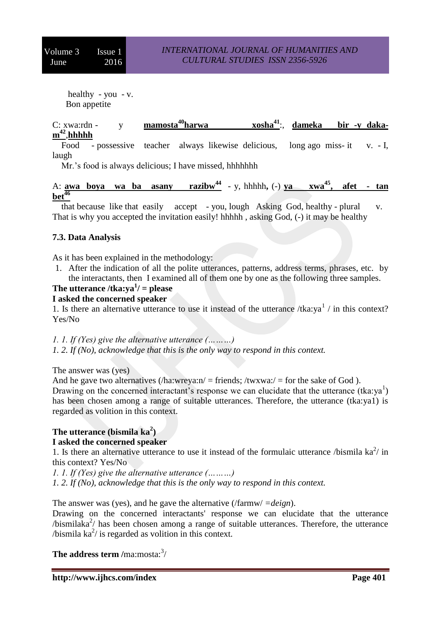healthy - you - v. Bon appetite

 $C: xwa:rdn - y$  **mamosta<sup>40</sup><b>harwa** :, **dameka bir -y dakam 42** ,**hhhhh**

 Food - possessive teacher always likewise delicious, long ago miss- it v. - I, laugh

Mr.'s food is always delicious; I have missed, hhhhhhh

A: **awa** boya wa ba asany razibw<sup>44</sup> - y, hhhhh, (-) **ya**  $xwa^{45}$ , afet - tan  $\frac{46}{46}$ 

 that because like that easily accept - you, lough Asking God, healthy - plural v. That is why you accepted the invitation easily! hhhhh , asking God, (-) it may be healthy

#### **7.3. Data Analysis**

As it has been explained in the methodology:

1. After the indication of all the polite utterances, patterns, address terms, phrases, etc. by the interactants, then I examined all of them one by one as the following three samples.

## **The utterance /tka:ya<sup>1</sup> / = please**

#### **I asked the concerned speaker**

1. Is there an alternative utterance to use it instead of the utterance /tka:ya<sup>1</sup> / in this context? Yes/No

*1. 1. If (Yes) give the alternative utterance (………)*

*1. 2. If (No), acknowledge that this is the only way to respond in this context.* 

The answer was (yes)

And he gave two alternatives  $(\lambda)$  a:wreya:n/ = friends;  $\lambda$  /twxwa:/ = for the sake of God ). Drawing on the concerned interactant's response we can elucidate that the utterance  $(tka:ya<sup>1</sup>)$ has been chosen among a range of suitable utterances. Therefore, the utterance (tka:ya1) is regarded as volition in this context.

# **The utterance (bismila ka<sup>2</sup> )**

#### **I asked the concerned speaker**

1. Is there an alternative utterance to use it instead of the formulaic utterance /bismila  $ka^2$ / in this context? Yes/No

*1. 1. If (Yes) give the alternative utterance (………)*

*1. 2. If (No), acknowledge that this is the only way to respond in this context.* 

#### The answer was (yes), and he gave the alternative (/farmw/ *=deign*).

Drawing on the concerned interactants' response we can elucidate that the utterance  $/b$ ismilaka<sup>2</sup>/ has been chosen among a range of suitable utterances. Therefore, the utterance /bismila  $ka^2$ / is regarded as volition in this context.

**The address term /ma:mosta:**<sup>3</sup>/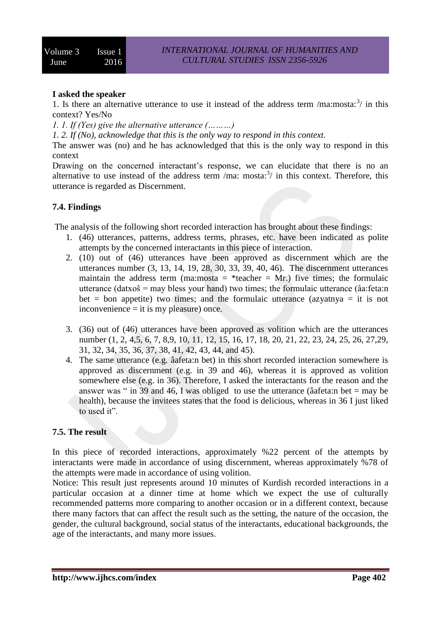#### **I asked the speaker**

1. Is there an alternative utterance to use it instead of the address term /ma:mosta: $3/$  in this context? Yes/No

*1. 1. If (Yes) give the alternative utterance (………)*

*1. 2. If (No), acknowledge that this is the only way to respond in this context.* 

The answer was (no) and he has acknowledged that this is the only way to respond in this context

Drawing on the concerned interactant's response, we can elucidate that there is no an alternative to use instead of the address term /ma: mosta: $3/$  in this context. Therefore, this utterance is regarded as Discernment.

#### **7.4. Findings**

The analysis of the following short recorded interaction has brought about these findings:

- 1. (46) utterances, patterns, address terms, phrases, etc. have been indicated as polite attempts by the concerned interactants in this piece of interaction.
- 2. (10) out of (46) utterances have been approved as discernment which are the utterances number (3, 13, 14, 19, 28, 30, 33, 39, 40, 46). The discernment utterances maintain the address term (ma:mosta = \*teacher = Mr.) five times; the formulaic utterance (datxoŝ = may bless your hand) two times; the formulaic utterance (âa:feta:n bet = bon appetite) two times; and the formulaic utterance (azyatnya = it is not inconvenience = it is my pleasure) once.
- 3. (36) out of (46) utterances have been approved as volition which are the utterances number (1, 2, 4,5, 6, 7, 8,9, 10, 11, 12, 15, 16, 17, 18, 20, 21, 22, 23, 24, 25, 26, 27, 29, 31, 32, 34, 35, 36, 37, 38, 41, 42, 43, 44, and 45).
- 4. The same utterance (e.g. âafeta:n bet) in this short recorded interaction somewhere is approved as discernment (e.g. in 39 and 46), whereas it is approved as volition somewhere else (e.g. in 36). Therefore, I asked the interactants for the reason and the answer was " in 39 and 46, I was obliged to use the utterance (âafeta:n bet  $=$  may be health), because the invitees states that the food is delicious, whereas in 36 I just liked to used it".

## **7.5. The result**

In this piece of recorded interactions, approximately %22 percent of the attempts by interactants were made in accordance of using discernment, whereas approximately %78 of the attempts were made in accordance of using volition.

Notice: This result just represents around 10 minutes of Kurdish recorded interactions in a particular occasion at a dinner time at home which we expect the use of culturally recommended patterns more comparing to another occasion or in a different context, because there many factors that can affect the result such as the setting, the nature of the occasion, the gender, the cultural background, social status of the interactants, educational backgrounds, the age of the interactants, and many more issues.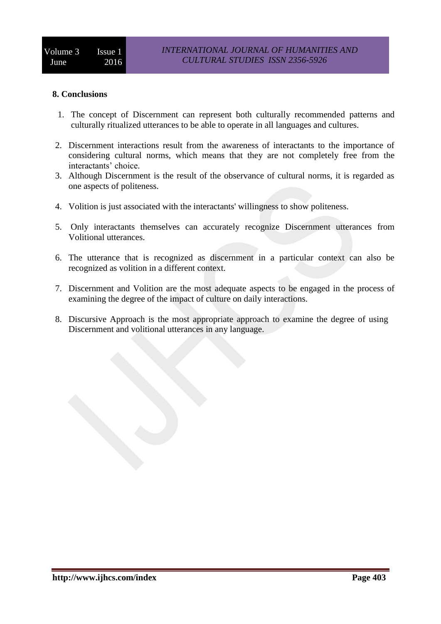#### **8. Conclusions**

- 1. The concept of Discernment can represent both culturally recommended patterns and culturally ritualized utterances to be able to operate in all languages and cultures.
- 2. Discernment interactions result from the awareness of interactants to the importance of considering cultural norms, which means that they are not completely free from the interactants' choice.
- 3. Although Discernment is the result of the observance of cultural norms, it is regarded as one aspects of politeness.
- 4. Volition is just associated with the interactants' willingness to show politeness.
- 5. Only interactants themselves can accurately recognize Discernment utterances from Volitional utterances.
- 6. The utterance that is recognized as discernment in a particular context can also be recognized as volition in a different context.
- 7. Discernment and Volition are the most adequate aspects to be engaged in the process of examining the degree of the impact of culture on daily interactions.
- 8. Discursive Approach is the most appropriate approach to examine the degree of using Discernment and volitional utterances in any language.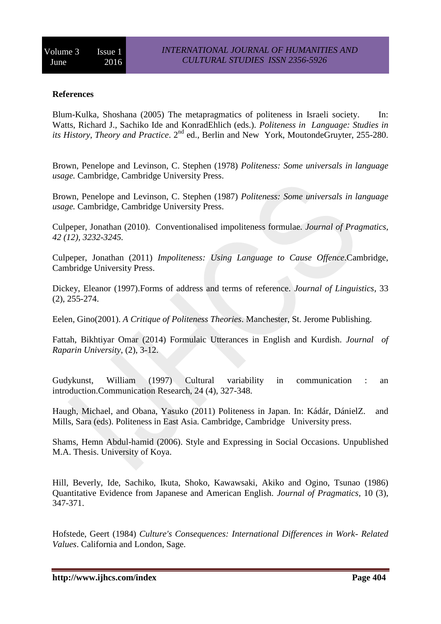## **References**

Blum-Kulka, Shoshana (2005) The metapragmatics of politeness in Israeli society. In: Watts, Richard J., Sachiko Ide and KonradEhlich (eds.). *Politeness in Language: Studies in its History, Theory and Practice*, 2<sup>nd</sup> ed., Berlin and New York, MoutondeGruyter, 255-280.

Brown, Penelope and Levinson, C. Stephen (1978) *Politeness: Some universals in language usage.* Cambridge, Cambridge University Press.

Brown, Penelope and Levinson, C. Stephen (1987) *Politeness: Some universals in language usage.* Cambridge, Cambridge University Press.

Culpeper, Jonathan (2010). Conventionalised impoliteness formulae. *Journal of Pragmatics, 42 (12), 3232-3245.*

Culpeper, Jonathan (2011) *Impoliteness: Using Language to Cause Offence*.Cambridge, Cambridge University Press.

Dickey, Eleanor (1997).Forms of address and terms of reference. *Journal of Linguistics*, 33 (2), 255-274.

Eelen, Gino(2001). *A Critique of Politeness Theories*. Manchester, St. Jerome Publishing.

Fattah, Bikhtiyar Omar (2014) Formulaic Utterances in English and Kurdish. *Journal of Raparin University*, (2), 3-12.

Gudykunst, William (1997) Cultural variability in communication : an introduction.Communication Research, 24 (4), 327-348.

Haugh, Michael, and Obana, Yasuko (2011) Politeness in Japan. In: Kádár, DánielZ. and Mills, Sara (eds). Politeness in East Asia. Cambridge, Cambridge University press.

Shams, Hemn Abdul-hamid (2006). Style and Expressing in Social Occasions. Unpublished M.A. Thesis. University of Koya.

Hill, Beverly, Ide, Sachiko, Ikuta, Shoko, Kawawsaki, Akiko and Ogino, Tsunao (1986) Quantitative Evidence from Japanese and American English. *Journal of Pragmatics,* 10 (3), 347-371.

Hofstede, Geert (1984) *Culture's Consequences: International Differences in Work- Related Values*. California and London, Sage.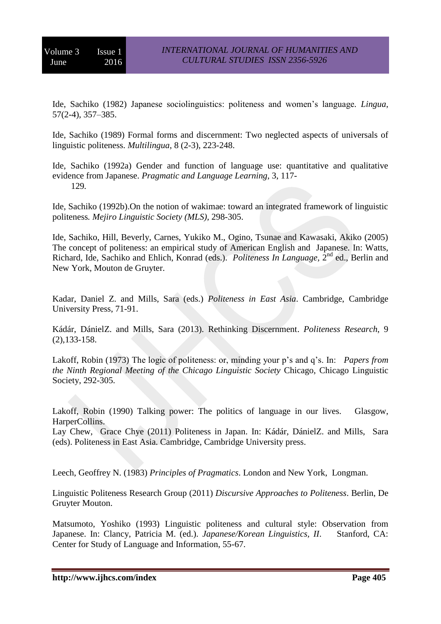Ide, Sachiko (1982) Japanese sociolinguistics: politeness and women's language*. Lingua*, 57(2-4), 357–385.

Ide, Sachiko (1989) Formal forms and discernment: Two neglected aspects of universals of linguistic politeness. *Multilingua*, 8 (2-3), 223-248.

Ide, Sachiko (1992a) Gender and function of language use: quantitative and qualitative evidence from Japanese. *Pragmatic and Language Learning*, 3, 117- 129*.*

Ide, Sachiko (1992b).On the notion of wakimae: toward an integrated framework of linguistic politeness*. Mejiro Linguistic Society (MLS),* 298-305.

Ide, Sachiko, Hill, Beverly, Carnes, Yukiko M., Ogino, Tsunae and Kawasaki, Akiko (2005) The concept of politeness: an empirical study of American English and Japanese. In: Watts, Richard, Ide, Sachiko and Ehlich, Konrad (eds.). *Politeness In Language*, 2<sup>nd</sup> ed., Berlin and New York, Mouton de Gruyter.

Kadar, Daniel Z. and Mills, Sara (eds.) *Politeness in East Asia*. Cambridge, Cambridge University Press, 71-91.

Kádár, DánielZ. and Mills, Sara (2013). Rethinking Discernment. *Politeness Research*, 9 (2),133-158.

Lakoff, Robin (1973) The logic of politeness: or, minding your p's and q's. In: *Papers from the Ninth Regional Meeting of the Chicago Linguistic Society* Chicago, Chicago Linguistic Society, 292-305.

Lakoff, Robin (1990) Talking power: The politics of language in our lives. Glasgow, HarperCollins.

Lay Chew, Grace Chye (2011) Politeness in Japan. In: Kádár, DánielZ. and Mills, Sara (eds). Politeness in East Asia. Cambridge, Cambridge University press.

Leech, Geoffrey N. (1983) *Principles of Pragmatics*. London and New York, Longman.

Linguistic Politeness Research Group (2011) *Discursive Approaches to Politeness*. Berlin, De Gruyter Mouton.

Matsumoto, Yoshiko (1993) Linguistic politeness and cultural style: Observation from Japanese. In: Clancy, Patricia M. (ed.). *Japanese/Korean Linguistics, II*. Stanford, CA: Center for Study of Language and Information, 55-67.